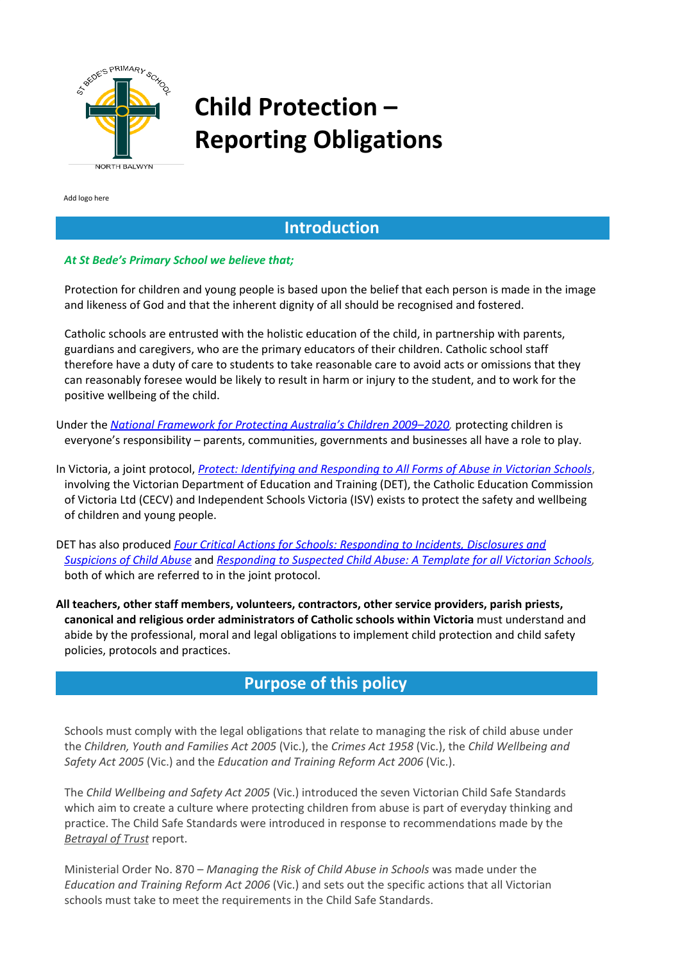

# **Child Protection – Reporting Obligations**

Add logo here

# **Introduction**

#### *At St Bede's Primary School we believe that;*

Protection for children and young people is based upon the belief that each person is made in the image and likeness of God and that the inherent dignity of all should be recognised and fostered.

Catholic schools are entrusted with the holistic education of the child, in partnership with parents, guardians and caregivers, who are the primary educators of their children. Catholic school staff therefore have a duty of care to students to take reasonable care to avoid acts or omissions that they can reasonably foresee would be likely to result in harm or injury to the student, and to work for the positive wellbeing of the child.

Under the *National [Framework](https://www.dss.gov.au/our-responsibilities/families-and-children/publications-articles/protecting-children-is-everyones-business-national-framework-for-protecting-australias-children-2009-2020-second-action-plan-2012-2015) for Protecting Australia's Children 2009–2020[,](https://www.dss.gov.au/our-responsibilities/families-and-children/publications-articles/protecting-children-is-everyones-business-national-framework-for-protecting-australias-children-2009-2020-second-action-plan-2012-2015)* protecting children is everyone's responsibility – parents, communities, governments and businesses all have a role to play.

In Victoria, a joint protocol, *Protect: Identifying and [Responding](http://www.education.vic.gov.au/Documents/about/programs/health/protect/ChildSafeStandard5_SchoolsGuide.pdf) to All Forms of Abuse in Victorian Schools*, involving the Victorian Department of Education and Training (DET), the Catholic Education Commission of Victoria Ltd (CECV) and Independent Schools Victoria (ISV) exists to protect the safety and wellbeing of children and young people.

DET has also produced *Four Critical Actions for Schools: [Responding](http://www.education.vic.gov.au/Documents/about/programs/health/protect/FourCriticalActions_ChildAbuse.pdf) to Incidents, Disclosures and [Suspicions](http://www.education.vic.gov.au/Documents/about/programs/health/protect/FourCriticalActions_ChildAbuse.pdf) of Child Abuse* and *[Responding](http://www.education.vic.gov.au/Documents/about/programs/health/protect/PROTECT_Responding_TemplateSchools.pdf) to Suspected Child Abuse: A Template for all Victorian Schools,* both of which are referred to in the joint protocol.

**All teachers, other staff members, volunteers, contractors, other service providers, parish priests, canonical and religious order administrators of Catholic schools within Victoria** must understand and abide by the professional, moral and legal obligations to implement child protection and child safety policies, protocols and practices.

# **Purpose of this policy**

Schools must comply with the legal obligations that relate to managing the risk of child abuse under the *Children, Youth and Families Act 2005* (Vic.), the *Crimes Act 1958* (Vic.), the *Child Wellbeing and Safety Act 2005* (Vic.) and the *Education and Training Reform Act 2006* (Vic.).

The *Child Wellbeing and Safety Act 2005* (Vic.) introduced the seven Victorian Child Safe Standards which aim to create a culture where protecting children from abuse is part of everyday thinking and practice. The Child Safe Standards were introduced in response to recommendations made by the *[Betrayal](http://www.parliament.vic.gov.au/file_uploads/Inquiry_into_Handling_of_Abuse_Volume_2_FINAL_web_y78t3Wpb.pdf) of Trust* report.

Ministerial Order No. 870 – *Managing the Risk of Child Abuse in Schools* was made under the *Education and Training Reform Act 2006* (Vic.) and sets out the specific actions that all Victorian schools must take to meet the requirements in the Child Safe Standards.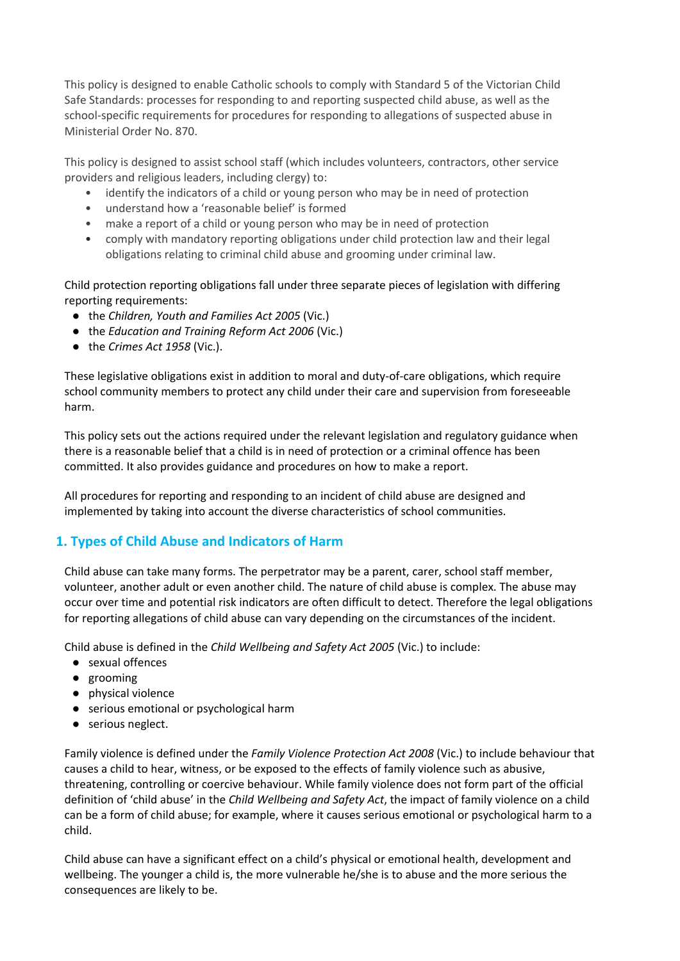This policy is designed to enable Catholic schools to comply with Standard 5 of the Victorian Child Safe Standards: processes for responding to and reporting suspected child abuse, as well as the school-specific requirements for procedures for responding to allegations of suspected abuse in Ministerial Order No. 870.

This policy is designed to assist school staff (which includes volunteers, contractors, other service providers and religious leaders, including clergy) to:

- identify the indicators of a child or young person who may be in need of protection
- understand how a 'reasonable belief' is formed
- make a report of a child or young person who may be in need of protection
- comply with mandatory reporting obligations under child protection law and their legal obligations relating to criminal child abuse and grooming under criminal law.

Child protection reporting obligations fall under three separate pieces of legislation with differing reporting requirements:

- the *Children, Youth and Families Act 2005* (Vic.)
- the *Education and Training Reform Act 2006* (Vic.)
- the *Crimes Act 1958* (Vic.).

These legislative obligations exist in addition to moral and duty-of-care obligations, which require school community members to protect any child under their care and supervision from foreseeable harm.

This policy sets out the actions required under the relevant legislation and regulatory guidance when there is a reasonable belief that a child is in need of protection or a criminal offence has been committed. It also provides guidance and procedures on how to make a report.

All procedures for reporting and responding to an incident of child abuse are designed and implemented by taking into account the diverse characteristics of school communities.

# **1. Types of Child Abuse and Indicators of Harm**

Child abuse can take many forms. The perpetrator may be a parent, carer, school staff member, volunteer, another adult or even another child. The nature of child abuse is complex. The abuse may occur over time and potential risk indicators are often difficult to detect. Therefore the legal obligations for reporting allegations of child abuse can vary depending on the circumstances of the incident.

Child abuse is defined in the *Child Wellbeing and Safety Act 2005* (Vic.) to include:

- sexual offences
- grooming
- physical violence
- serious emotional or psychological harm
- serious neglect.

Family violence is defined under the *Family Violence Protection Act 2008* (Vic.) to include behaviour that causes a child to hear, witness, or be exposed to the effects of family violence such as abusive, threatening, controlling or coercive behaviour. While family violence does not form part of the official definition of 'child abuse' in the *Child Wellbeing and Safety Act*, the impact of family violence on a child can be a form of child abuse; for example, where it causes serious emotional or psychological harm to a child.

Child abuse can have a significant effect on a child's physical or emotional health, development and wellbeing. The younger a child is, the more vulnerable he/she is to abuse and the more serious the consequences are likely to be.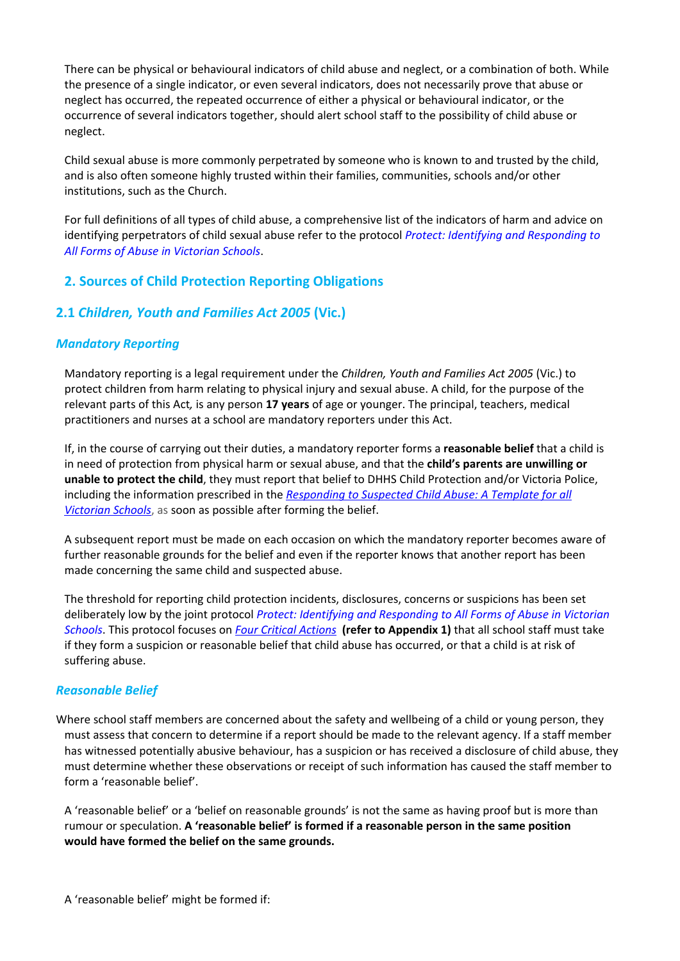There can be physical or behavioural indicators of child abuse and neglect, or a combination of both. While the presence of a single indicator, or even several indicators, does not necessarily prove that abuse or neglect has occurred, the repeated occurrence of either a physical or behavioural indicator, or the occurrence of several indicators together, should alert school staff to the possibility of child abuse or neglect.

Child sexual abuse is more commonly perpetrated by someone who is known to and trusted by the child, and is also often someone highly trusted within their families, communities, schools and/or other institutions, such as the Church.

For full definitions of all types of child abuse, a comprehensive list of the indicators of harm and advice on identifying perpetrators of child sexual abuse refer to the protocol *Protect: Identifying and [Responding](http://www.education.vic.gov.au/Documents/about/programs/health/protect/ChildSafeStandard5_SchoolsGuide.pdf) to All Forms of Abuse in [Victorian](http://www.education.vic.gov.au/Documents/about/programs/health/protect/ChildSafeStandard5_SchoolsGuide.pdf) Schools*.

# **2. Sources of Child Protection Reporting Obligations**

# **2.1** *Children, Youth and Families Act 2005* **(Vic.)**

#### *Mandatory Reporting*

Mandatory reporting is a legal requirement under the *Children, Youth and Families Act 2005* (Vic.) to protect children from harm relating to physical injury and sexual abuse. A child, for the purpose of the relevant parts of this Act*,* is any person **17 years** of age or younger. The principal, teachers, medical practitioners and nurses at a school are mandatory reporters under this Act.

If, in the course of carrying out their duties, a mandatory reporter forms a **reasonable belief** that a child is in need of protection from physical harm or sexual abuse, and that the **child's parents are unwilling or unable to protect the child**, they must report that belief to DHHS Child Protection and/or Victoria Police, including the information prescribed in the *[Responding](http://www.education.vic.gov.au/Documents/about/programs/health/protect/PROTECT_Responding_TemplateSchools.pdf) to Suspected Child Abuse: A Template for all [Victorian](http://www.education.vic.gov.au/Documents/about/programs/health/protect/PROTECT_Responding_TemplateSchools.pdf) Schools*, as soon as possible after forming the belief.

A subsequent report must be made on each occasion on which the mandatory reporter becomes aware of further reasonable grounds for the belief and even if the reporter knows that another report has been made concerning the same child and suspected abuse.

The threshold for reporting child protection incidents, disclosures, concerns or suspicions has been set deliberately low by the joint protocol *Protect: Identifying and [Responding](http://www.education.vic.gov.au/Documents/about/programs/health/protect/ChildSafeStandard5_SchoolsGuide.pdf) to All Forms of Abuse in Victorian [Schools](http://www.education.vic.gov.au/Documents/about/programs/health/protect/ChildSafeStandard5_SchoolsGuide.pdf)*. This protocol focuses on *Four Critical [Actions](http://www.education.vic.gov.au/Documents/about/programs/health/protect/FourCriticalActions_ChildAbuse.pdf)* **(refer to Appendix 1)** that all school staff must take if they form a suspicion or reasonable belief that child abuse has occurred, or that a child is at risk of suffering abuse.

#### *Reasonable Belief*

Where school staff members are concerned about the safety and wellbeing of a child or young person, they must assess that concern to determine if a report should be made to the relevant agency. If a staff member has witnessed potentially abusive behaviour, has a suspicion or has received a disclosure of child abuse, they must determine whether these observations or receipt of such information has caused the staff member to form a 'reasonable belief'.

A 'reasonable belief' or a 'belief on reasonable grounds' is not the same as having proof but is more than rumour or speculation. **A 'reasonable belief' is formed if a reasonable person in the same position would have formed the belief on the same grounds.**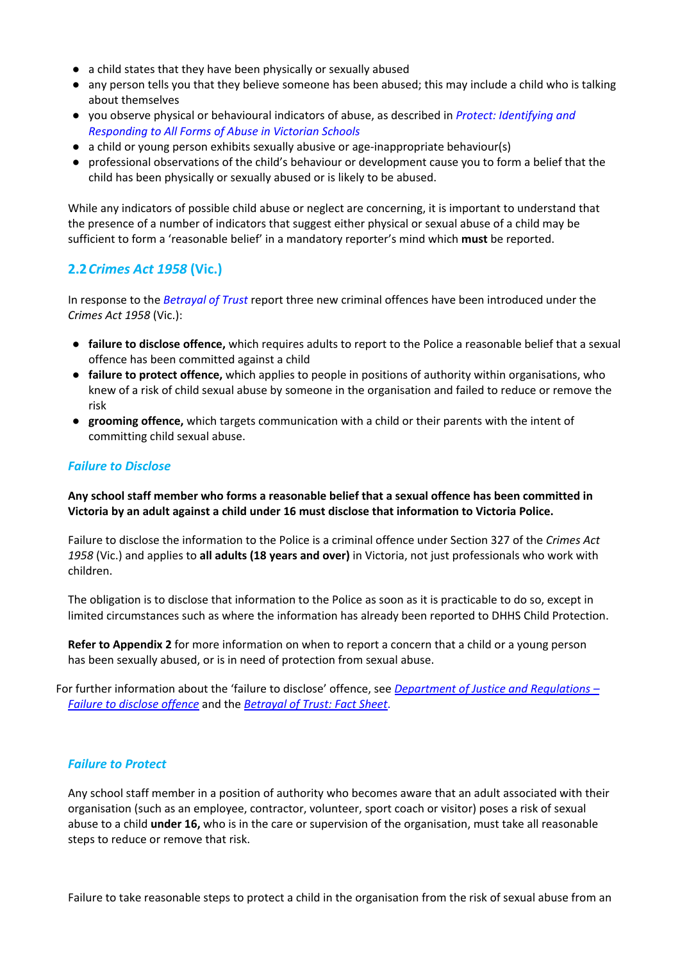- a child states that they have been physically or sexually abused
- any person tells you that they believe someone has been abused; this may include a child who is talking about themselves
- you observe physical or behavioural indicators of abuse, as described in *Protect: [Identifying](http://www.education.vic.gov.au/Documents/about/programs/health/protect/ChildSafeStandard5_SchoolsGuide.pdf) and [Responding](http://www.education.vic.gov.au/Documents/about/programs/health/protect/ChildSafeStandard5_SchoolsGuide.pdf) to All Forms of Abuse in Victorian Schools*
- a child or young person exhibits sexually abusive or age-inappropriate behaviour(s)
- professional observations of the child's behaviour or development cause you to form a belief that the child has been physically or sexually abused or is likely to be abused.

While any indicators of possible child abuse or neglect are concerning, it is important to understand that the presence of a number of indicators that suggest either physical or sexual abuse of a child may be sufficient to form a 'reasonable belief' in a mandatory reporter's mind which **must** be reported.

#### **2.2***Crimes Act 1958* **(Vic.)**

In response to the *[Betrayal](http://www.parliament.vic.gov.au/file_uploads/Inquiry_into_Handling_of_Abuse_Volume_2_FINAL_web_y78t3Wpb.pdf) of Trust* report three new criminal offences have been introduced under the *Crimes Act 1958* (Vic.):

- **failure to disclose [offence,](http://www.justice.vic.gov.au/home/safer%2Bcommunities/protecting%2Bchildren%2Band%2Bfamilies/failure%2Bto%2Bdisclose%2Boffence)** which requires adults to report to the Police a reasonable belief that a sexual offence has been committed against a child
- **failure to protect [offence,](http://www.justice.vic.gov.au/home/safer%2Bcommunities/protecting%2Bchildren%2Band%2Bfamilies/failure%2Bto%2Bprotect%2Boffence)** which applies to people in positions of authority within organisations, who knew of a risk of child sexual abuse by someone in the organisation and failed to reduce or remove the risk
- **[grooming](http://www.justice.vic.gov.au/home/safer%2Bcommunities/protecting%2Bchildren%2Band%2Bfamilies/grooming%2Boffence) offence,** which targets communication with a child or their parents with the intent of committing child sexual abuse.

#### *Failure to Disclose*

**Any school staff member who forms a reasonable belief that a sexual offence has been committed in Victoria by an adult against a child under 16 must disclose that information to Victoria Police.**

Failure to disclose the information to the Police is a criminal offence under Section 327 of the *Crimes Act 1958* (Vic.) and applies to **all adults (18 years and over)** in Victoria, not just professionals who work with children.

The obligation is to disclose that information to the Police as soon as it is practicable to do so, except in limited circumstances such as where the information has already been reported to DHHS Child Protection.

**Refer to Appendix 2** for more information on when to report a concern that a child or a young person has been sexually abused, or is in need of protection from sexual abuse.

For further information about the 'failure to disclose' offence, see *[Department](http://www.justice.vic.gov.au/home/safer%2Bcommunities/protecting%2Bchildren%2Band%2Bfamilies/failure%2Bto%2Bdisclose%2Boffence) of Justice and Regulations – Failure to [disclose](http://www.justice.vic.gov.au/home/safer%2Bcommunities/protecting%2Bchildren%2Band%2Bfamilies/failure%2Bto%2Bdisclose%2Boffence) offence* and the *[Betrayal](http://assets.justice.vic.gov.au/justice/resources/ea484f74-feb7-400e-ad68-9bd0be8e2a40/failure%2Bto%2Bdisclose.pdf) of Trust: Fact Sheet*.

#### *Failure to Protect*

Any school staff member in a position of authority who becomes aware that an adult associated with their organisation (such as an employee, contractor, volunteer, sport coach or visitor) poses a risk of sexual abuse to a child **under 16,** who is in the care or supervision of the organisation, must take all reasonable steps to reduce or remove that risk.

Failure to take reasonable steps to protect a child in the organisation from the risk of sexual abuse from an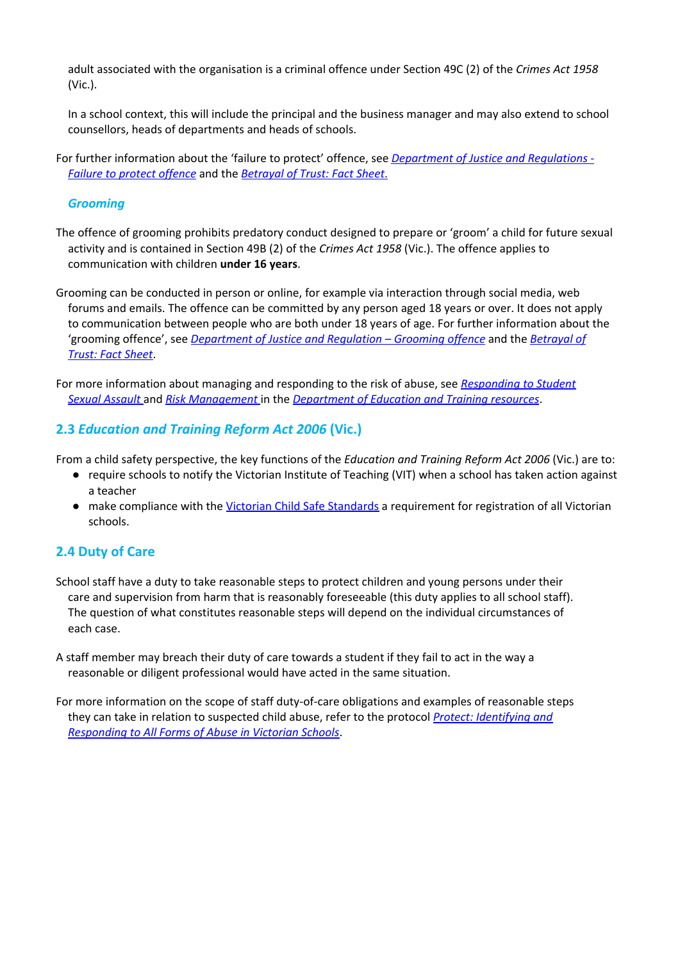adult associated with the organisation is a criminal offence under Section 49C (2) of the *Crimes Act 1958* (Vic.).

In a school context, this will include the principal and the business manager and may also extend to school counsellors, heads of departments and heads of schools.

For further information about the 'failure to protect' offence, see *[Department](http://www.justice.vic.gov.au/home/safer%2Bcommunities/protecting%2Bchildren%2Band%2Bfamilies/failure%2Bto%2Bprotect%2Boffence) of Justice and Regulations - Failure to protect [offence](http://www.justice.vic.gov.au/home/safer%2Bcommunities/protecting%2Bchildren%2Band%2Bfamilies/failure%2Bto%2Bprotect%2Boffence)* [a](http://www.justice.vic.gov.au/home/safer%2Bcommunities/protecting%2Bchildren%2Band%2Bfamilies/failure%2Bto%2Bprotect%2Boffence)nd the *[Betrayal](http://assets.justice.vic.gov.au/justice/resources/ea484f74-feb7-400e-ad68-9bd0be8e2a40/failure%2Bto%2Bdisclose.pdf) of Trust: Fact Sheet*[.](http://assets.justice.vic.gov.au/justice/resources/ea484f74-feb7-400e-ad68-9bd0be8e2a40/failure%2Bto%2Bdisclose.pdf)

#### *Grooming*

- The offence of grooming prohibits predatory conduct designed to prepare or 'groom' a child for future sexual activity and is contained in Section 49B (2) of the *Crimes Act 1958* (Vic.). The offence applies to communication with children **under 16 years**.
- Grooming can be conducted in person or online, for example via interaction through social media, web forums and emails. The offence can be committed by any person aged 18 years or over. It does not apply to communication between people who are both under 18 years of age. For further information about the 'grooming offence', see *[Department](http://www.justice.vic.gov.au/home/safer%2Bcommunities/protecting%2Bchildren%2Band%2Bfamilies/grooming%2Boffence) of Justice and Regulation – [Grooming](http://www.justice.vic.gov.au/home/safer%2Bcommunities/protecting%2Bchildren%2Band%2Bfamilies/grooming%2Boffence) offence* and the *[Betrayal](http://assets.justice.vic.gov.au/justice/resources/ea484f74-feb7-400e-ad68-9bd0be8e2a40/failure%2Bto%2Bdisclose.pdf) of [Trust:](http://assets.justice.vic.gov.au/justice/resources/ea484f74-feb7-400e-ad68-9bd0be8e2a40/failure%2Bto%2Bdisclose.pdf) Fact Sheet*[.](http://assets.justice.vic.gov.au/justice/resources/ea484f74-feb7-400e-ad68-9bd0be8e2a40/failure%2Bto%2Bdisclose.pdf)
- For more information about managing and responding to the risk of abuse, see *[Responding](http://www.education.vic.gov.au/school/principals/spag/safety/Pages/sexualassault.aspx) to Student Sexual [Assault](http://www.education.vic.gov.au/school/principals/spag/safety/Pages/sexualassault.aspx)* and *Risk [Management](http://www.education.vic.gov.au/school/principals/spag/governance/Pages/risk.aspx)* in the *[Department](http://www.education.vic.gov.au/school/principals/spag/safety/pages/childprotection.aspx#link90) of Education and Training resources*[.](http://www.education.vic.gov.au/school/principals/spag/safety/pages/childprotection.aspx#link90)

#### **2.3** *Education and Training Reform Act 2006* **(Vic.)**

From a child safety perspective, the key functions of the *Education and Training Reform Act 2006* (Vic.) are to:

- require schools to notify the Victorian Institute of Teaching (VIT) when a school has taken action against a teacher
- **•** m[a](https://schoolseditorial.cspace.net.au/TheVictorianChildSafeStandards)ke compliance with the *Victorian Child Safe [Standards](https://schoolseditorial.cspace.net.au/TheVictorianChildSafeStandards)* a requirement for registration of all Victorian schools.

# **2.4 Duty of Care**

- School staff have a duty to take reasonable steps to protect children and young persons under their care and supervision from harm that is reasonably foreseeable (this duty applies to all school staff). The question of what constitutes reasonable steps will depend on the individual circumstances of each case.
- A staff member may breach their duty of care towards a student if they fail to act in the way a reasonable or diligent professional would have acted in the same situation.
- For more information on the scope of staff duty-of-care obligations and examples of reasonable steps they can take in relation to suspected child abuse, refer to the protocol *Protect: [Identifying](http://www.education.vic.gov.au/Documents/about/programs/health/protect/ChildSafeStandard5_SchoolsGuide.pdf) and [Responding](http://www.education.vic.gov.au/Documents/about/programs/health/protect/ChildSafeStandard5_SchoolsGuide.pdf) to All Forms of Abuse in Victorian Schools*.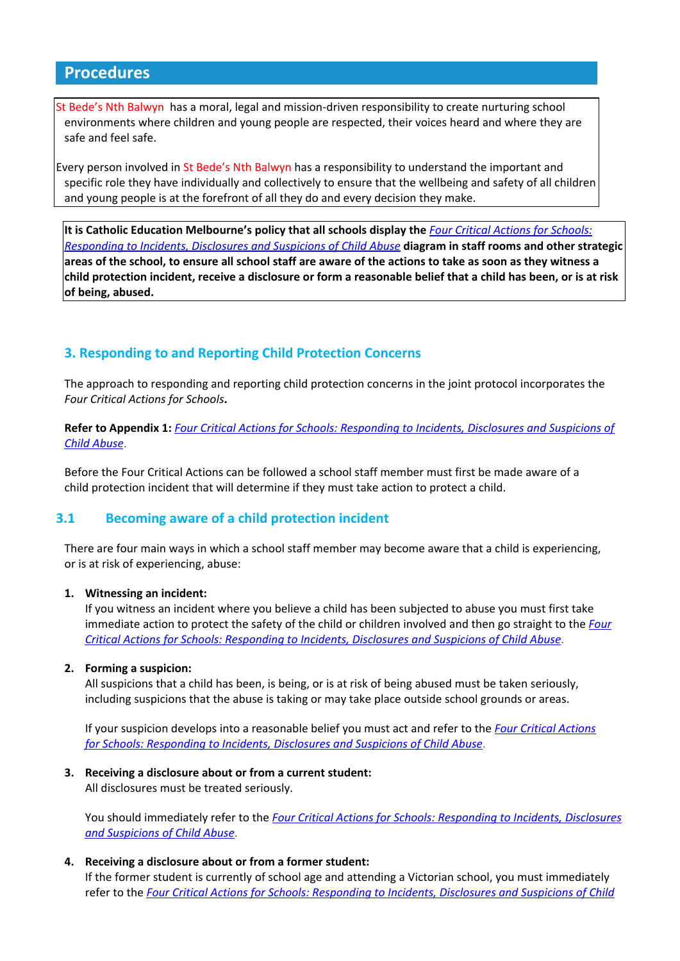# **Procedures**

It Bede's Nth Balwyn has a moral, legal and mission-driven responsibility to create nurturing school environments where children and young people are respected, their voices heard and where they are safe and feel safe.

Every person involved in St Bede's Nth Balwyn has a responsibility to understand the important and specific role they have individually and collectively to ensure that the wellbeing and safety of all children and young people is at the forefront of all they do and every decision they make.

**It is Catholic Education Melbourne's policy that all schools display the** *Four Critical Actions for [Schools:](http://www.education.vic.gov.au/Documents/about/programs/health/protect/FourCriticalActions_ChildAbuse.pdf) [Responding](http://www.education.vic.gov.au/Documents/about/programs/health/protect/FourCriticalActions_ChildAbuse.pdf) to Incidents, Disclosures and Suspicions of Child Abuse* **diagram in staff rooms and other strategic** areas of the school, to ensure all school staff are aware of the actions to take as soon as they witness a child protection incident, receive a disclosure or form a reasonable belief that a child has been, or is at risk **of being, abused.**

# **3. Responding to and Reporting Child Protection Concerns**

The approach to responding and reporting child protection concerns in the joint protocol incorporates the *Four Critical Actions for Schools***.**

**Refer to Appendix 1:** *Four Critical Actions for Schools: [Responding](http://www.education.vic.gov.au/Documents/about/programs/health/protect/FourCriticalActions_ChildAbuse.pdf) to Incidents, Disclosures and Suspicions of Child [Abuse](http://www.education.vic.gov.au/Documents/about/programs/health/protect/FourCriticalActions_ChildAbuse.pdf)*.

Before the Four Critical Actions can be followed a school staff member must first be made aware of a child protection incident that will determine if they must take action to protect a child.

#### **3.1 Becoming aware of a child protection incident**

There are four main ways in which a school staff member may become aware that a child is experiencing, or is at risk of experiencing, abuse:

#### **1. Witnessing an incident:**

If you witness an incident where you believe a child has been subjected to abuse you must first take immediate action to protect the safety of the child or children involved and then go straight to the *[Four](http://www.education.vic.gov.au/Documents/about/programs/health/protect/FourCriticalActions_ChildAbuse.pdf) Critical Actions for Schools: [Responding](http://www.education.vic.gov.au/Documents/about/programs/health/protect/FourCriticalActions_ChildAbuse.pdf) to Incidents, Disclosures and Suspicions of Child Abuse*.

#### **2. Forming a suspicion:**

All suspicions that a child has been, is being, or is at risk of being abused must be taken seriously, including suspicions that the abuse is taking or may take place outside school grounds or areas.

If your suspicion develops into a reasonable belief you must act and refer to the *Four Critical [Actions](http://www.education.vic.gov.au/Documents/about/programs/health/protect/FourCriticalActions_ChildAbuse.pdf) for Schools: [Responding](http://www.education.vic.gov.au/Documents/about/programs/health/protect/FourCriticalActions_ChildAbuse.pdf) to Incidents, Disclosures and Suspicions of Child Abuse*.

#### **3. Receiving a disclosure about or from a current student:**

All disclosures must be treated seriously.

You should immediately refer to the *Four Critical Actions for Schools: [Responding](http://www.education.vic.gov.au/Documents/about/programs/health/protect/FourCriticalActions_ChildAbuse.pdf) to Incidents, Disclosures and [Suspicions](http://www.education.vic.gov.au/Documents/about/programs/health/protect/FourCriticalActions_ChildAbuse.pdf) of Child Abuse*.

#### **4. Receiving a disclosure about or from a former student:**

If the former student is currently of school age and attending a Victorian school, you must immediately refer to the *Four Critical Actions for Schools: [Responding](http://www.education.vic.gov.au/Documents/about/programs/health/protect/FourCriticalActions_ChildAbuse.pdf) to Incidents, Disclosures and Suspicions of Child*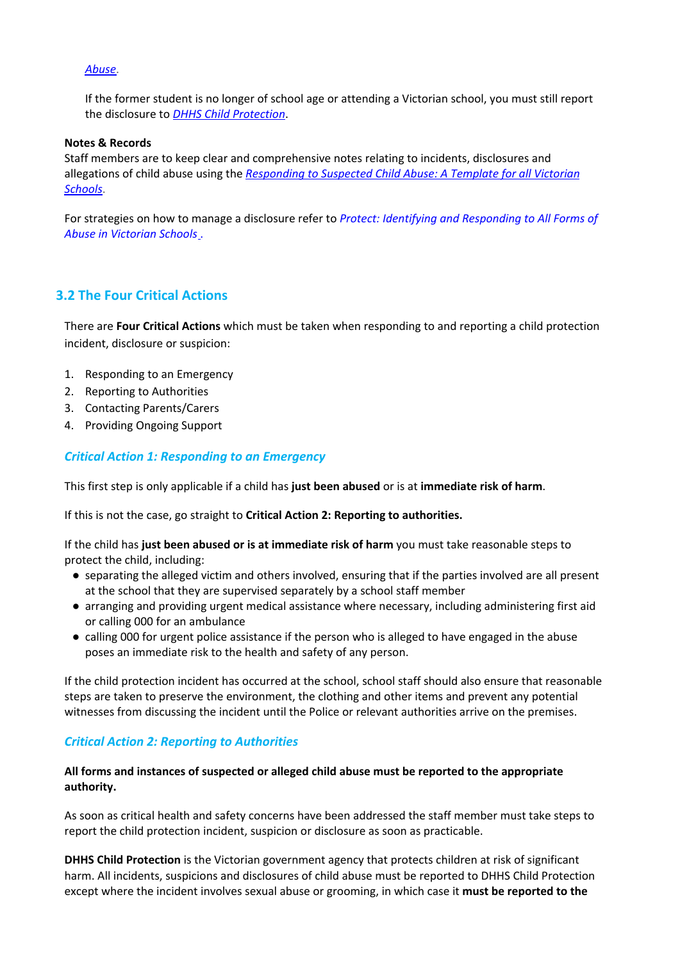#### *[Abuse](http://www.education.vic.gov.au/Documents/about/programs/health/protect/FourCriticalActions_ChildAbuse.pdf)*.

If the former student is no longer of school age or attending a Victorian school, you must still report the disclosure to *DHHS Child [Protection](http://www.education.vic.gov.au/about/contact/Pages/reportingabuse.aspx?Redirect=1)*[.](http://www.education.vic.gov.au/about/contact/Pages/reportingabuse.aspx?Redirect=1)

#### **Notes & Records**

Staff members are to keep clear and comprehensive notes relating to incidents, disclosures and allegations of child abuse using the *[Responding](http://www.education.vic.gov.au/Documents/about/programs/health/protect/PROTECT_Responding_TemplateSchools.pdf) to Suspected Child Abuse: A Template for all Victorian [Schools](http://www.education.vic.gov.au/Documents/about/programs/health/protect/PROTECT_Responding_TemplateSchools.pdf)*.

For strategies on how to manage a disclosure refer to *Protect: Identifying and [Responding](http://www.education.vic.gov.au/Documents/about/programs/health/protect/ChildSafeStandard5_SchoolsGuide.pdf) to All Forms of Abuse in [Victorian](http://www.education.vic.gov.au/Documents/about/programs/health/protect/ChildSafeStandard5_SchoolsGuide.pdf) Schools* .

#### **3.2 The Four Critical Actions**

There are **Four Critical Actions** which must be taken when responding to and reporting a child protection incident, disclosure or suspicion:

- 1. Responding to an Emergency
- 2. Reporting to Authorities
- 3. Contacting Parents/Carers
- 4. Providing Ongoing Support

#### *Critical Action 1: Responding to an Emergency*

This first step is only applicable if a child has **just been abused** or is at **immediate risk of harm**.

If this is not the case, go straight to **Critical Action 2: Reporting to authorities.**

If the child has **just been abused or is at immediate risk of harm** you must take reasonable steps to protect the child, including:

- separating the alleged victim and others involved, ensuring that if the parties involved are all present at the school that they are supervised separately by a school staff member
- arranging and providing urgent medical assistance where necessary, including administering first aid or calling 000 for an ambulance
- calling 000 for urgent police assistance if the person who is alleged to have engaged in the abuse poses an immediate risk to the health and safety of any person.

If the child protection incident has occurred at the school, school staff should also ensure that reasonable steps are taken to preserve the environment, the clothing and other items and prevent any potential witnesses from discussing the incident until the Police or relevant authorities arrive on the premises.

#### *Critical Action 2: Reporting to Authorities*

#### **All forms and instances of suspected or alleged child abuse must be reported to the appropriate authority.**

As soon as critical health and safety concerns have been addressed the staff member must take steps to report the child protection incident, suspicion or disclosure as soon as practicable.

**DHHS Child Protection** is the Victorian government agency that protects children at risk of significant harm. All incidents, suspicions and disclosures of child abuse must be reported to DHHS Child Protection except where the incident involves sexual abuse or grooming, in which case it **must be reported to the**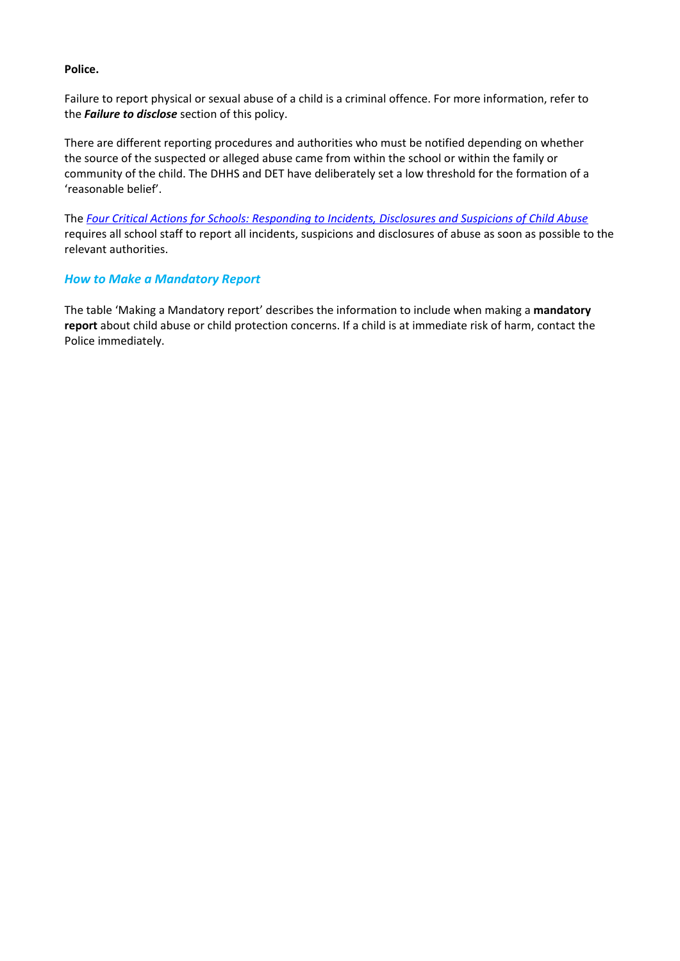#### **Police.**

Failure to report physical or sexual abuse of a child is a criminal offence. For more information, refer to the *Failure to disclose* section of this policy.

There are different reporting procedures and authorities who must be notified depending on whether the source of the suspected or alleged abuse came from within the school or within the family or community of the child. The DHHS and DET have deliberately set a low threshold for the formation of a 'reasonable belief'.

The *Four Critical Actions for Schools: [Responding](http://www.education.vic.gov.au/Documents/about/programs/health/protect/FourCriticalActions_ChildAbuse.pdf) to Incidents, Disclosures and Suspicions of Child Abuse* requires all school staff to report all incidents, suspicions and disclosures of abuse as soon as possible to the relevant authorities.

#### *How to Make a Mandatory Report*

The table 'Making a Mandatory report' describes the information to include when making a **mandatory report** about child abuse or child protection concerns. If a child is at immediate risk of harm, contact the Police immediately.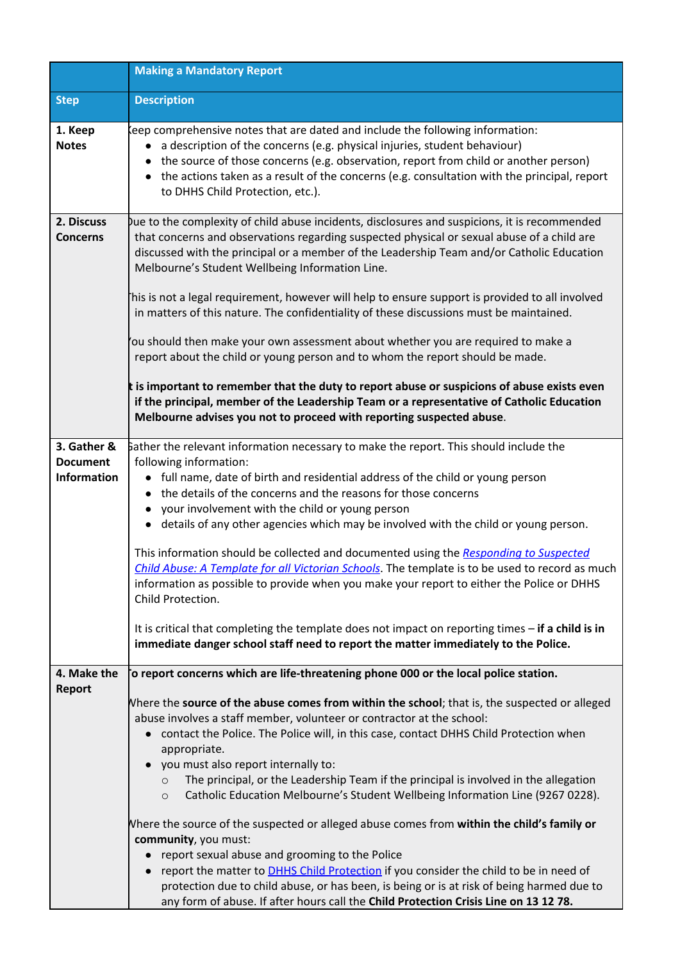|                                                      | <b>Making a Mandatory Report</b>                                                                                                                                                                                                                                                                                                                                                                                                                                                                                                                                                                                                                                                                                                                                                                                                                                                                                                                                            |  |  |
|------------------------------------------------------|-----------------------------------------------------------------------------------------------------------------------------------------------------------------------------------------------------------------------------------------------------------------------------------------------------------------------------------------------------------------------------------------------------------------------------------------------------------------------------------------------------------------------------------------------------------------------------------------------------------------------------------------------------------------------------------------------------------------------------------------------------------------------------------------------------------------------------------------------------------------------------------------------------------------------------------------------------------------------------|--|--|
| <b>Step</b>                                          | <b>Description</b>                                                                                                                                                                                                                                                                                                                                                                                                                                                                                                                                                                                                                                                                                                                                                                                                                                                                                                                                                          |  |  |
| 1. Keep<br><b>Notes</b>                              | eep comprehensive notes that are dated and include the following information:<br>a description of the concerns (e.g. physical injuries, student behaviour)<br>the source of those concerns (e.g. observation, report from child or another person)<br>• the actions taken as a result of the concerns (e.g. consultation with the principal, report<br>to DHHS Child Protection, etc.).                                                                                                                                                                                                                                                                                                                                                                                                                                                                                                                                                                                     |  |  |
| 2. Discuss<br><b>Concerns</b>                        | Jue to the complexity of child abuse incidents, disclosures and suspicions, it is recommended<br>that concerns and observations regarding suspected physical or sexual abuse of a child are<br>discussed with the principal or a member of the Leadership Team and/or Catholic Education<br>Melbourne's Student Wellbeing Information Line.                                                                                                                                                                                                                                                                                                                                                                                                                                                                                                                                                                                                                                 |  |  |
|                                                      | his is not a legal requirement, however will help to ensure support is provided to all involved<br>in matters of this nature. The confidentiality of these discussions must be maintained.                                                                                                                                                                                                                                                                                                                                                                                                                                                                                                                                                                                                                                                                                                                                                                                  |  |  |
|                                                      | 'ou should then make your own assessment about whether you are required to make a<br>report about the child or young person and to whom the report should be made.                                                                                                                                                                                                                                                                                                                                                                                                                                                                                                                                                                                                                                                                                                                                                                                                          |  |  |
|                                                      | t is important to remember that the duty to report abuse or suspicions of abuse exists even<br>if the principal, member of the Leadership Team or a representative of Catholic Education<br>Melbourne advises you not to proceed with reporting suspected abuse.                                                                                                                                                                                                                                                                                                                                                                                                                                                                                                                                                                                                                                                                                                            |  |  |
| 3. Gather &<br><b>Document</b><br><b>Information</b> | Bather the relevant information necessary to make the report. This should include the<br>following information:<br>• full name, date of birth and residential address of the child or young person<br>the details of the concerns and the reasons for those concerns<br>your involvement with the child or young person<br>details of any other agencies which may be involved with the child or young person.<br>$\bullet$<br>This information should be collected and documented using the Responding to Suspected<br>Child Abuse: A Template for all Victorian Schools. The template is to be used to record as much<br>information as possible to provide when you make your report to either the Police or DHHS<br>Child Protection.<br>It is critical that completing the template does not impact on reporting times - if a child is in<br>immediate danger school staff need to report the matter immediately to the Police.                                        |  |  |
| 4. Make the<br><b>Report</b>                         | o report concerns which are life-threatening phone 000 or the local police station.<br>Where the source of the abuse comes from within the school; that is, the suspected or alleged<br>abuse involves a staff member, volunteer or contractor at the school:<br>contact the Police. The Police will, in this case, contact DHHS Child Protection when<br>appropriate.<br>you must also report internally to:<br>The principal, or the Leadership Team if the principal is involved in the allegation<br>$\circ$<br>Catholic Education Melbourne's Student Wellbeing Information Line (9267 0228).<br>$\circ$<br>Where the source of the suspected or alleged abuse comes from within the child's family or<br>community, you must:<br>report sexual abuse and grooming to the Police<br>report the matter to DHHS Child Protection if you consider the child to be in need of<br>protection due to child abuse, or has been, is being or is at risk of being harmed due to |  |  |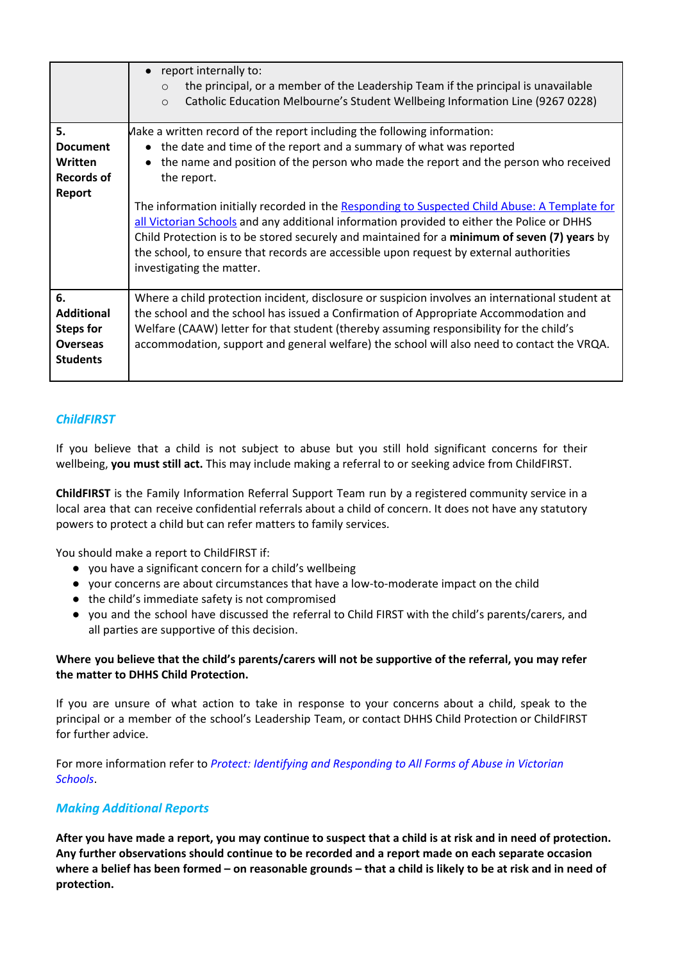|                                                                                   | report internally to:<br>$\bullet$<br>the principal, or a member of the Leadership Team if the principal is unavailable<br>$\Omega$<br>Catholic Education Melbourne's Student Wellbeing Information Line (9267 0228)<br>$\circ$                                                                                                                                                                                                                                                                                                                                                                                                                                              |
|-----------------------------------------------------------------------------------|------------------------------------------------------------------------------------------------------------------------------------------------------------------------------------------------------------------------------------------------------------------------------------------------------------------------------------------------------------------------------------------------------------------------------------------------------------------------------------------------------------------------------------------------------------------------------------------------------------------------------------------------------------------------------|
| 5.<br><b>Document</b><br>Written<br><b>Records of</b><br>Report                   | Make a written record of the report including the following information:<br>• the date and time of the report and a summary of what was reported<br>the name and position of the person who made the report and the person who received<br>the report.<br>The information initially recorded in the Responding to Suspected Child Abuse: A Template for<br>all Victorian Schools and any additional information provided to either the Police or DHHS<br>Child Protection is to be stored securely and maintained for a minimum of seven (7) years by<br>the school, to ensure that records are accessible upon request by external authorities<br>investigating the matter. |
| 6.<br><b>Additional</b><br><b>Steps for</b><br><b>Overseas</b><br><b>Students</b> | Where a child protection incident, disclosure or suspicion involves an international student at<br>the school and the school has issued a Confirmation of Appropriate Accommodation and<br>Welfare (CAAW) letter for that student (thereby assuming responsibility for the child's<br>accommodation, support and general welfare) the school will also need to contact the VRQA.                                                                                                                                                                                                                                                                                             |

# *ChildFIRST*

If you believe that a child is not subject to abuse but you still hold significant concerns for their wellbeing, **you must still act.** This may include making a referral to or seeking advice from ChildFIRST.

**ChildFIRST** is the Family Information Referral Support Team run by a registered community service in a local area that can receive confidential referrals about a child of concern. It does not have any statutory powers to protect a child but can refer matters to family services.

You should make a report to ChildFIRST if:

- you have a significant concern for a child's wellbeing
- your concerns are about circumstances that have a low-to-moderate impact on the child
- the child's immediate safety is not compromised
- you and the school have discussed the referral to Child FIRST with the child's parents/carers, and all parties are supportive of this decision.

#### **Where you believe that the child's parents/carers will not be supportive of the referral, you may refer the matter to DHHS Child Protection.**

If you are unsure of what action to take in response to your concerns about a child, speak to the principal or a member of the school's Leadership Team, or contact DHHS Child Protection or ChildFIRST for further advice.

For more information refer to *Protect: Identifying and [Responding](http://www.education.vic.gov.au/Documents/about/programs/health/protect/ChildSafeStandard5_SchoolsGuide.pdf) to All Forms of Abuse in Victorian [Schools](http://www.education.vic.gov.au/Documents/about/programs/health/protect/ChildSafeStandard5_SchoolsGuide.pdf)*.

#### *Making Additional Reports*

After you have made a report, you may continue to suspect that a child is at risk and in need of protection. **Any further observations should continue to be recorded and a report made on each separate occasion** where a belief has been formed - on reasonable grounds - that a child is likely to be at risk and in need of **protection.**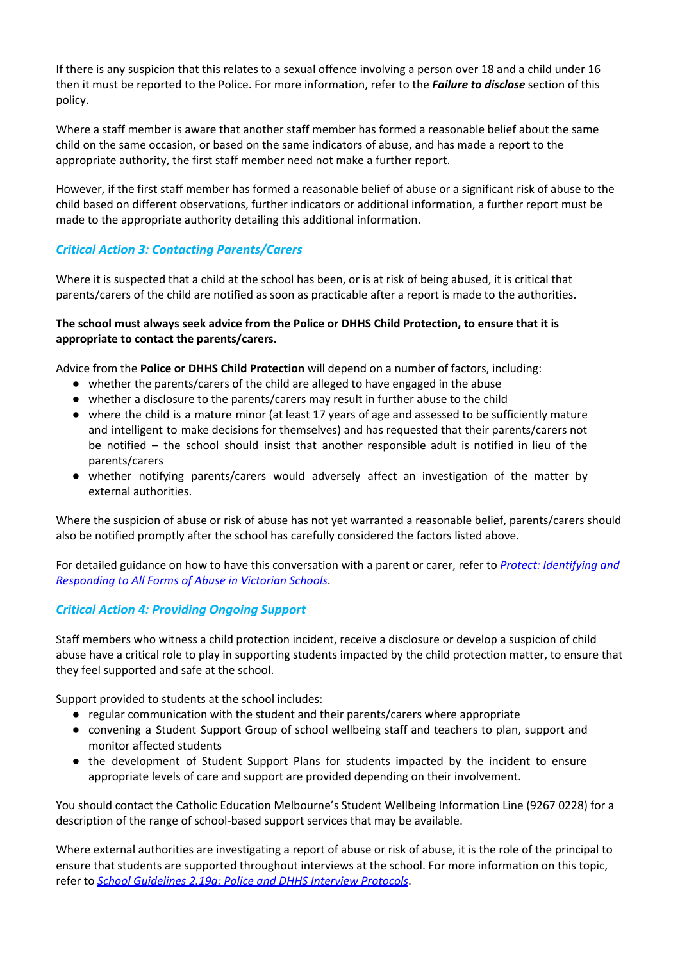If there is any suspicion that this relates to a sexual offence involving a person over 18 and a child under 16 then it must be reported to the Police. For more information, refer to the *Failure to disclose* section of this policy.

Where a staff member is aware that another staff member has formed a reasonable belief about the same child on the same occasion, or based on the same indicators of abuse, and has made a report to the appropriate authority, the first staff member need not make a further report.

However, if the first staff member has formed a reasonable belief of abuse or a significant risk of abuse to the child based on different observations, further indicators or additional information, a further report must be made to the appropriate authority detailing this additional information.

# *Critical Action 3: Contacting Parents/Carers*

Where it is suspected that a child at the school has been, or is at risk of being abused, it is critical that parents/carers of the child are notified as soon as practicable after a report is made to the authorities.

#### **The school must always seek advice from the Police or DHHS Child Protection, to ensure that it is appropriate to contact the parents/carers.**

Advice from the **Police or DHHS Child Protection** will depend on a number of factors, including:

- whether the parents/carers of the child are alleged to have engaged in the abuse
- whether a disclosure to the parents/carers may result in further abuse to the child
- where the child is a mature minor (at least 17 years of age and assessed to be sufficiently mature and intelligent to make decisions for themselves) and has requested that their parents/carers not be notified – the school should insist that another responsible adult is notified in lieu of the parents/carers
- whether notifying parents/carers would adversely affect an investigation of the matter by external authorities.

Where the suspicion of abuse or risk of abuse has not yet warranted a reasonable belief, parents/carers should also be notified promptly after the school has carefully considered the factors listed above.

For detailed guidance on how to have this conversation with a parent or carer, refer to *Protect: [Identifying](http://www.education.vic.gov.au/Documents/about/programs/health/protect/ChildSafeStandard5_SchoolsGuide.pdf) and [Responding](http://www.education.vic.gov.au/Documents/about/programs/health/protect/ChildSafeStandard5_SchoolsGuide.pdf) to All Forms of Abuse in Victorian Schools*.

# *Critical Action 4: Providing Ongoing Support*

Staff members who witness a child protection incident, receive a disclosure or develop a suspicion of child abuse have a critical role to play in supporting students impacted by the child protection matter, to ensure that they feel supported and safe at the school.

Support provided to students at the school includes:

- regular communication with the student and their parents/carers where appropriate
- convening a Student Support Group of school wellbeing staff and teachers to plan, support and monitor affected students
- the development of Student Support Plans for students impacted by the incident to ensure appropriate levels of care and support are provided depending on their involvement.

You should contact the Catholic Education Melbourne's Student Wellbeing Information Line (9267 0228) for a description of the range of school-based support services that may be available.

Where external authorities are investigating a report of abuse or risk of abuse, it is the role of the principal to ensure that students are supported throughout interviews at the school. For more information on this topic, refer to *School [Guidelines](http://www.cem.edu.au/publications-policies/policy/policy-2.19a-police-and-dhhs-interview-protocols/) 2.19a: Police and DHHS Interview Protocols*[.](http://www.cem.edu.au/publications-policies/policy/policy-2.19a-police-and-dhhs-interview-protocols/)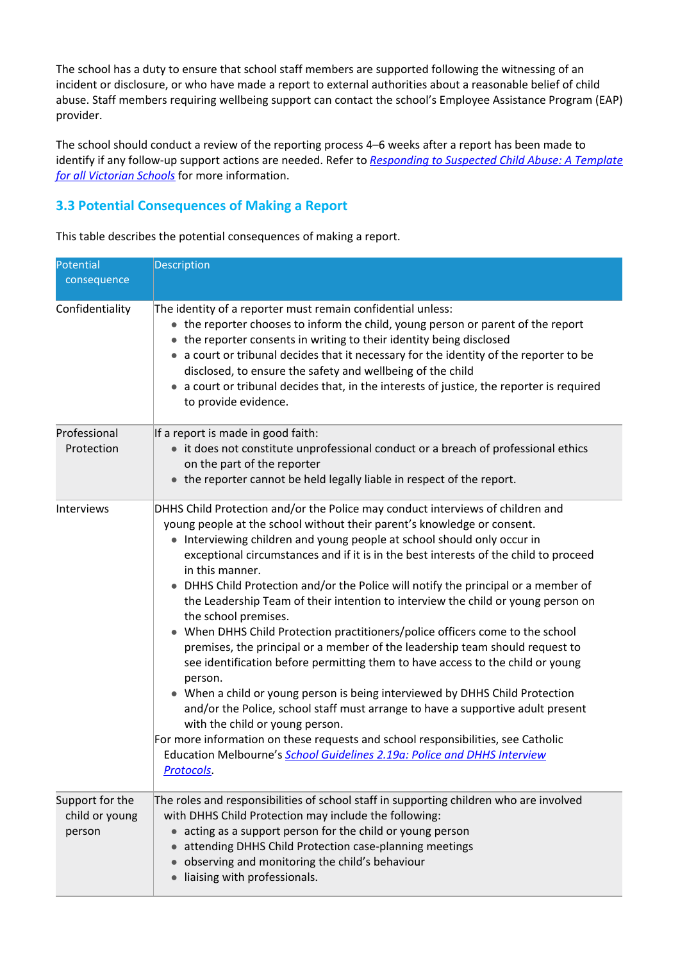The school has a duty to ensure that school staff members are supported following the witnessing of an incident or disclosure, or who have made a report to external authorities about a reasonable belief of child abuse. Staff members requiring wellbeing support can contact the school's Employee Assistance Program (EAP) provider.

The school should conduct a review of the reporting process 4–6 weeks after a report has been made to identify if any follow-up support actions are needed. Refer to *[Responding](http://www.education.vic.gov.au/Documents/about/programs/health/protect/PROTECT_Responding_TemplateSchools.pdf) to Suspected Child Abuse: A Template for all [Victorian](http://www.education.vic.gov.au/Documents/about/programs/health/protect/PROTECT_Responding_TemplateSchools.pdf) Schools* for more information.

# **3.3 Potential Consequences of Making a Report**

This table describes the potential consequences of making a report.

| Potential<br>consequence                    | Description                                                                                                                                                                                                                                                                                                                                                                                                                                                                                                                                                                                                                                                                                                                                                                                                                                                                                                                                                                                                                                                                                                                                                                                           |  |  |
|---------------------------------------------|-------------------------------------------------------------------------------------------------------------------------------------------------------------------------------------------------------------------------------------------------------------------------------------------------------------------------------------------------------------------------------------------------------------------------------------------------------------------------------------------------------------------------------------------------------------------------------------------------------------------------------------------------------------------------------------------------------------------------------------------------------------------------------------------------------------------------------------------------------------------------------------------------------------------------------------------------------------------------------------------------------------------------------------------------------------------------------------------------------------------------------------------------------------------------------------------------------|--|--|
| Confidentiality                             | The identity of a reporter must remain confidential unless:<br>• the reporter chooses to inform the child, young person or parent of the report<br>the reporter consents in writing to their identity being disclosed<br>a court or tribunal decides that it necessary for the identity of the reporter to be<br>disclosed, to ensure the safety and wellbeing of the child<br>a court or tribunal decides that, in the interests of justice, the reporter is required<br>to provide evidence.                                                                                                                                                                                                                                                                                                                                                                                                                                                                                                                                                                                                                                                                                                        |  |  |
| Professional<br>Protection                  | If a report is made in good faith:<br>• it does not constitute unprofessional conduct or a breach of professional ethics<br>on the part of the reporter<br>the reporter cannot be held legally liable in respect of the report.                                                                                                                                                                                                                                                                                                                                                                                                                                                                                                                                                                                                                                                                                                                                                                                                                                                                                                                                                                       |  |  |
| Interviews                                  | DHHS Child Protection and/or the Police may conduct interviews of children and<br>young people at the school without their parent's knowledge or consent.<br>• Interviewing children and young people at school should only occur in<br>exceptional circumstances and if it is in the best interests of the child to proceed<br>in this manner.<br>DHHS Child Protection and/or the Police will notify the principal or a member of<br>the Leadership Team of their intention to interview the child or young person on<br>the school premises.<br>When DHHS Child Protection practitioners/police officers come to the school<br>premises, the principal or a member of the leadership team should request to<br>see identification before permitting them to have access to the child or young<br>person.<br>• When a child or young person is being interviewed by DHHS Child Protection<br>and/or the Police, school staff must arrange to have a supportive adult present<br>with the child or young person.<br>For more information on these requests and school responsibilities, see Catholic<br>Education Melbourne's School Guidelines 2.19a: Police and DHHS Interview<br><b>Protocols</b> |  |  |
| Support for the<br>child or young<br>person | The roles and responsibilities of school staff in supporting children who are involved<br>with DHHS Child Protection may include the following:<br>acting as a support person for the child or young person<br>attending DHHS Child Protection case-planning meetings<br>observing and monitoring the child's behaviour<br>liaising with professionals.                                                                                                                                                                                                                                                                                                                                                                                                                                                                                                                                                                                                                                                                                                                                                                                                                                               |  |  |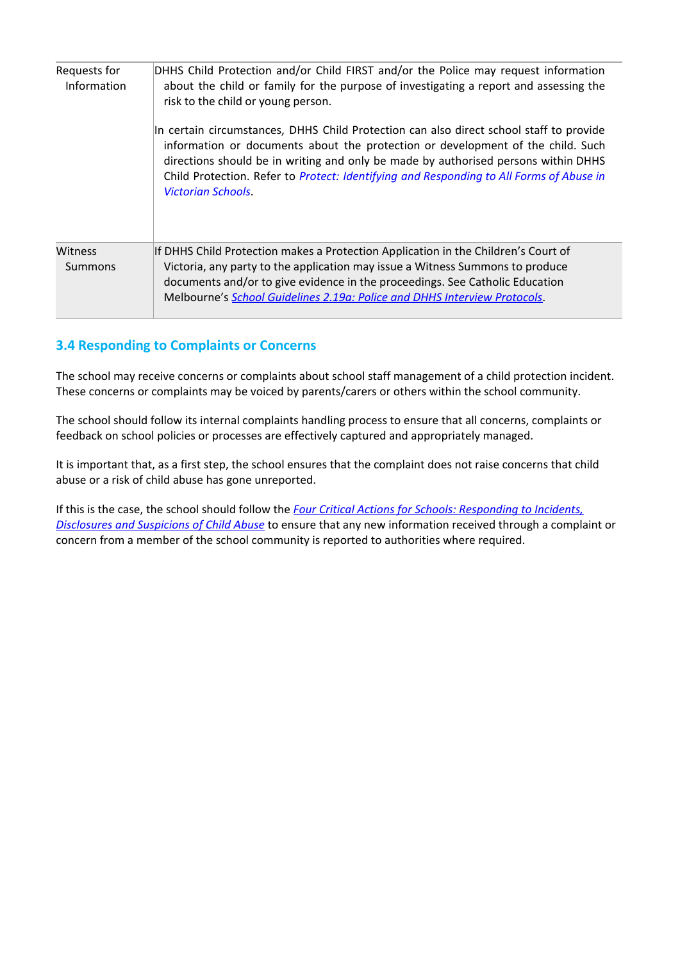| Requests for<br>Information | DHHS Child Protection and/or Child FIRST and/or the Police may request information<br>about the child or family for the purpose of investigating a report and assessing the<br>risk to the child or young person.<br>In certain circumstances, DHHS Child Protection can also direct school staff to provide<br>information or documents about the protection or development of the child. Such<br>directions should be in writing and only be made by authorised persons within DHHS<br>Child Protection. Refer to Protect: Identifying and Responding to All Forms of Abuse in<br><b>Victorian Schools.</b> |
|-----------------------------|---------------------------------------------------------------------------------------------------------------------------------------------------------------------------------------------------------------------------------------------------------------------------------------------------------------------------------------------------------------------------------------------------------------------------------------------------------------------------------------------------------------------------------------------------------------------------------------------------------------|
| Witness<br>Summons          | If DHHS Child Protection makes a Protection Application in the Children's Court of<br>Victoria, any party to the application may issue a Witness Summons to produce<br>documents and/or to give evidence in the proceedings. See Catholic Education<br>Melbourne's School Guidelines 2.19a: Police and DHHS Interview Protocols.                                                                                                                                                                                                                                                                              |

# **3.4 Responding to Complaints or Concerns**

The school may receive concerns or complaints about school staff management of a child protection incident. These concerns or complaints may be voiced by parents/carers or others within the school community.

The school should follow its internal complaints handling process to ensure that all concerns, complaints or feedback on school policies or processes are effectively captured and appropriately managed.

It is important that, as a first step, the school ensures that the complaint does not raise concerns that child abuse or a risk of child abuse has gone unreported.

If this is the case, the school should follow the *Four Critical Actions for Schools: [Responding](http://www.education.vic.gov.au/Documents/about/programs/health/protect/FourCriticalActions_ChildAbuse.pdf) to Incidents, [Disclosures](http://www.education.vic.gov.au/Documents/about/programs/health/protect/FourCriticalActions_ChildAbuse.pdf) and Suspicions of Child Abuse* to ensure that any new information received through a complaint or concern from a member of the school community is reported to authorities where required.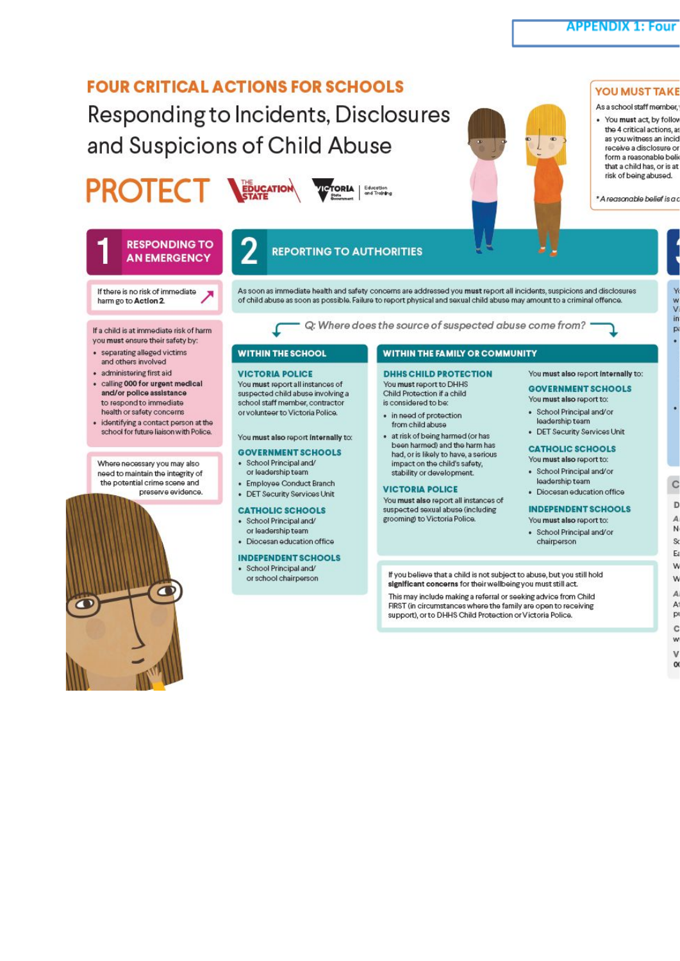# **FOUR CRITICAL ACTIONS FOR SCHOOLS**

Responding to Incidents, Disclosures and Suspicions of Child Abuse

# **PROTEC**

 $\bullet$ 



**TORIA** | Education



#### **YOU MUST TAKE**

As a school staff member. . You must act, by follow the 4 critical actions, as as you witness an incid receive a disclosure or form a reasonable belie that a child has, or is at risk of being abused.

\* A reasonable belief is a c



If you believe that a child is not subject to abuse, but you still hold significant concerns for their wellbeing you must still act.

This may include making a referral or seeking advice from Child FIRST (in circumstances where the family are open to receiving support), or to DHHS Child Protection or Victoria Police.

 $\mathbf C$ D A N  $\mathbf S$ E W W  $\overline{A}$ A p  $\mathbf{c}$ w v o

w<br>V in

p

.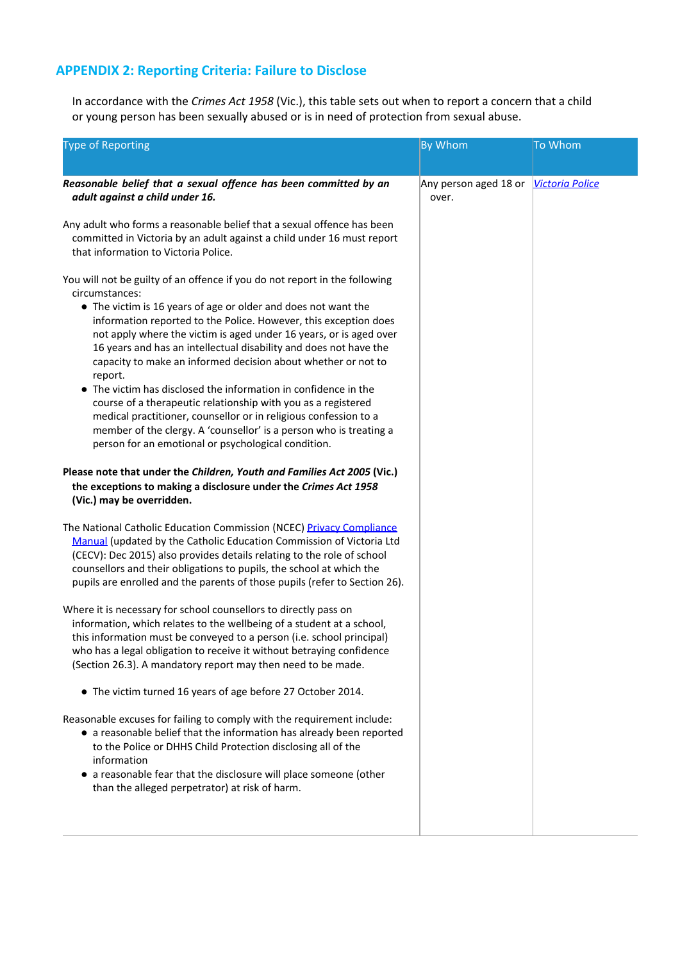# **APPENDIX 2: Reporting Criteria: Failure to Disclose**

In accordance with the *Crimes Act 1958* (Vic.), this table sets out when to report a concern that a child or young person has been sexually abused or is in need of protection from sexual abuse.

| <b>Type of Reporting</b>                                                                                                                                                                                                                                                                                                                                                                                                                                                                                                                                                                                                                                                                                                                                                                                                                                                                                                                     | <b>By Whom</b>                 | To Whom                |
|----------------------------------------------------------------------------------------------------------------------------------------------------------------------------------------------------------------------------------------------------------------------------------------------------------------------------------------------------------------------------------------------------------------------------------------------------------------------------------------------------------------------------------------------------------------------------------------------------------------------------------------------------------------------------------------------------------------------------------------------------------------------------------------------------------------------------------------------------------------------------------------------------------------------------------------------|--------------------------------|------------------------|
| Reasonable belief that a sexual offence has been committed by an<br>adult against a child under 16.                                                                                                                                                                                                                                                                                                                                                                                                                                                                                                                                                                                                                                                                                                                                                                                                                                          | Any person aged 18 or<br>over. | <b>Victoria Police</b> |
| Any adult who forms a reasonable belief that a sexual offence has been<br>committed in Victoria by an adult against a child under 16 must report<br>that information to Victoria Police.                                                                                                                                                                                                                                                                                                                                                                                                                                                                                                                                                                                                                                                                                                                                                     |                                |                        |
| You will not be guilty of an offence if you do not report in the following<br>circumstances:<br>• The victim is 16 years of age or older and does not want the<br>information reported to the Police. However, this exception does<br>not apply where the victim is aged under 16 years, or is aged over<br>16 years and has an intellectual disability and does not have the<br>capacity to make an informed decision about whether or not to<br>report.<br>• The victim has disclosed the information in confidence in the<br>course of a therapeutic relationship with you as a registered<br>medical practitioner, counsellor or in religious confession to a<br>member of the clergy. A 'counsellor' is a person who is treating a<br>person for an emotional or psychological condition.<br>Please note that under the Children, Youth and Families Act 2005 (Vic.)<br>the exceptions to making a disclosure under the Crimes Act 1958 |                                |                        |
| (Vic.) may be overridden.                                                                                                                                                                                                                                                                                                                                                                                                                                                                                                                                                                                                                                                                                                                                                                                                                                                                                                                    |                                |                        |
| The National Catholic Education Commission (NCEC) Privacy Compliance<br>Manual (updated by the Catholic Education Commission of Victoria Ltd<br>(CECV): Dec 2015) also provides details relating to the role of school<br>counsellors and their obligations to pupils, the school at which the<br>pupils are enrolled and the parents of those pupils (refer to Section 26).                                                                                                                                                                                                                                                                                                                                                                                                                                                                                                                                                                 |                                |                        |
| Where it is necessary for school counsellors to directly pass on<br>information, which relates to the wellbeing of a student at a school,<br>this information must be conveyed to a person (i.e. school principal)<br>who has a legal obligation to receive it without betraying confidence<br>(Section 26.3). A mandatory report may then need to be made.                                                                                                                                                                                                                                                                                                                                                                                                                                                                                                                                                                                  |                                |                        |
| • The victim turned 16 years of age before 27 October 2014.                                                                                                                                                                                                                                                                                                                                                                                                                                                                                                                                                                                                                                                                                                                                                                                                                                                                                  |                                |                        |
| Reasonable excuses for failing to comply with the requirement include:<br>• a reasonable belief that the information has already been reported<br>to the Police or DHHS Child Protection disclosing all of the<br>information<br>• a reasonable fear that the disclosure will place someone (other<br>than the alleged perpetrator) at risk of harm.                                                                                                                                                                                                                                                                                                                                                                                                                                                                                                                                                                                         |                                |                        |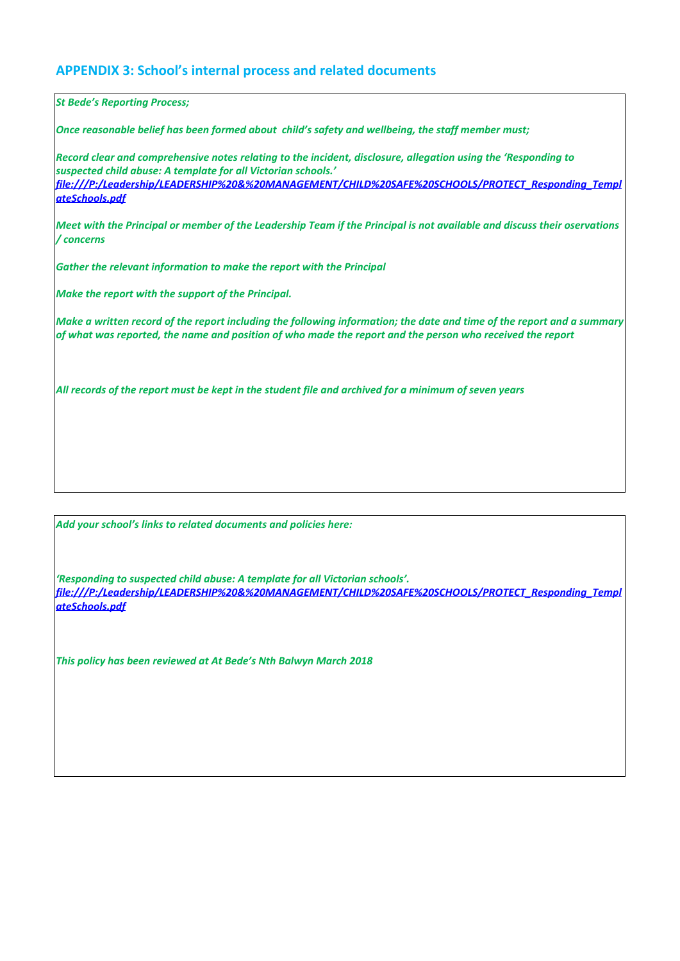#### **APPENDIX 3: School's internal process and related documents**

*St Bede's Reporting Process;*

*Once reasonable belief has been formed about child's safety and wellbeing, the staff member must;*

*Record clear and comprehensive notes relating to the incident, disclosure, allegation using the 'Responding to suspected child abuse: A template for all Victorian schools.' file:///P:/Leadership/LEADERSHIP%20&%20MANAGEMENT/CHILD%20SAFE%20SCHOOLS/PROTECT\_Responding\_Templ ateSchools.pdf*

Meet with the Principal or member of the Leadership Team if the Principal is not available and discuss their oservations */ concerns*

*Gather the relevant information to make the report with the Principal*

*Make the report with the support of the Principal.*

Make a written record of the report including the following information; the date and time of the report and a summary of what was reported, the name and position of who made the report and the person who received the report

All records of the report must be kept in the student file and archived for a minimum of seven years

*Add your school's links to related documents and policies here:*

*'Responding to suspected child abuse: A template for all Victorian schools'. file:///P:/Leadership/LEADERSHIP%20&%20MANAGEMENT/CHILD%20SAFE%20SCHOOLS/PROTECT\_Responding\_Templ ateSchools.pdf*

*This policy has been reviewed at At Bede's Nth Balwyn March 2018*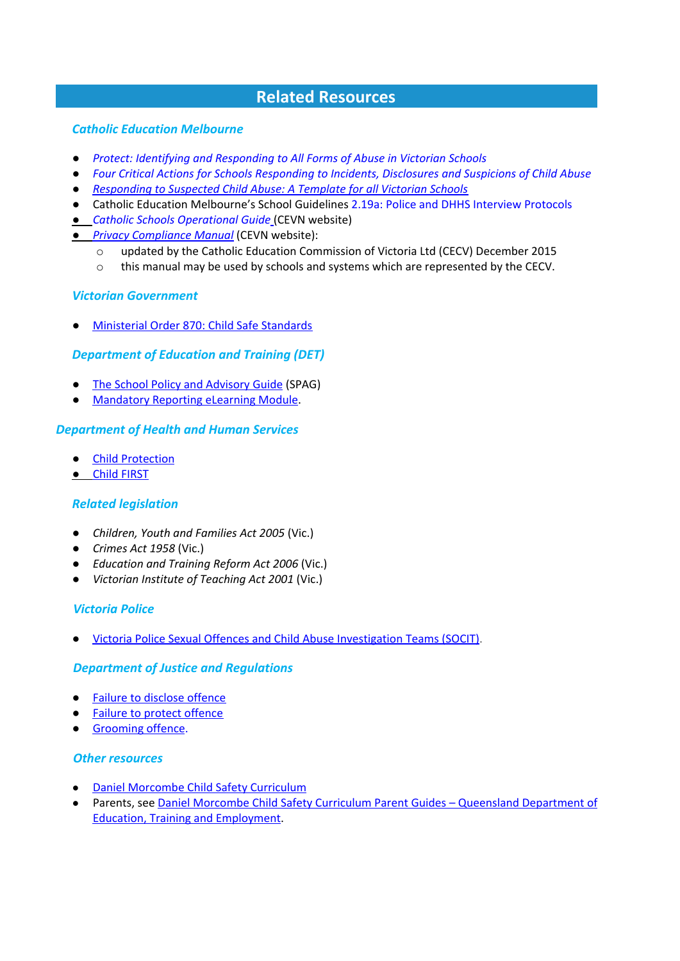# **Related Resources**

#### *Catholic Education Melbourne*

- *● Protect: Identifying and [Responding](http://www.education.vic.gov.au/Documents/about/programs/health/protect/ChildSafeStandard5_SchoolsGuide.pdf) to All Forms of Abuse in Victorian Schools*
- *● Four Critical Actions for Schools [Responding](http://www.education.vic.gov.au/Documents/about/programs/health/protect/FourCriticalActions_ChildAbuse.pdf) to Incidents, Disclosures and Suspicions of Child Abuse*
- *● [Responding](http://www.education.vic.gov.au/Documents/about/programs/health/protect/PROTECT_Responding_TemplateSchools.pdf) to Suspected Child Abuse: A Template for all Victorian Schools*
- Catholic Education Melbourne's School Guidelines 2.19a: Police and DHHS [Interview](http://www.cem.edu.au/publications-policies/policy/policy-2.19a-police-and-dhhs-interview-protocols/) Protocols
- *Catholic Schools [Operational](http://cevn.cecv.catholic.edu.au/Legal_Search.htm) Guide* (CEVN website)
- *● Privacy [Compliance](http://cevn.cecv.catholic.edu.au/WorkArea/DownloadAsset.aspx?id=8589934996) Manual* (CEVN website):
	- o updated by the Catholic Education Commission of Victoria Ltd (CECV) December 2015
	- o this manual may be used by schools and systems which are represented by the CECV.

#### *Victorian Government*

● [Ministerial](http://www.gazette.vic.gov.au/gazette/Gazettes2016/GG2016S002.pdf) Order 870: Child Safe Standards

#### *Department of Education and Training (DET)*

- The School Policy and [Advisory](http://www.education.vic.gov.au/school/principals/spag/Pages/spag.aspx) Guide (SPAG)
- [Mandatory](http://www.elearn.com.au/deecd/mandatoryreporting) Reporting eLearning Modul[e.](http://www.elearn.com.au/deecd/mandatoryreporting)

#### *Department of Health and Human Services*

- Child [Protection](http://www.dhs.vic.gov.au/for-individuals/children%2C-families-and-young-people/child-protection)
- Child [FIRST](http://www.cyf.vic.gov.au/family-services/how-to-make-a-referral-to-child-first)

#### *Related legislation*

- *Children, Youth and Families Act 2005* (Vic.)
- *Crimes Act 1958* (Vic.)
- *Education and Training Reform Act 2006* (Vic.)
- *Victorian Institute of Teaching Act 2001* (Vic.)

#### *Victoria Police*

● Victoria Police Sexual Offences and Child Abuse [Investigation](http://www.police.vic.gov.au/content.asp?Document_ID=36222) Teams (SOCIT[\).](http://www.police.vic.gov.au/content.asp?Document_ID=36222)

#### *Department of Justice and Regulations*

- Failure to [disclose](http://www.justice.vic.gov.au/home/safer%2Bcommunities/protecting%2Bchildren%2Band%2Bfamilies/failure%2Bto%2Bdisclose%2Boffence) offence
- Failure to protect offence
- [Grooming](http://www.justice.vic.gov.au/home/safer%2Bcommunities/protecting%2Bchildren%2Band%2Bfamilies/grooming%2Boffence) offenc[e.](http://www.justice.vic.gov.au/home/safer%2Bcommunities/protecting%2Bchildren%2Band%2Bfamilies/grooming%2Boffence)

#### *Other resources*

- Daniel [Morcombe](http://www.danielmorcombe.com.au/blog/daniel-morcombe-child-safety-curriculum) Child Safety Curriculum
- Parents, see Daniel Morcombe Child Safety Curriculum Parent Guides Queensland [Department](http://education.qld.gov.au/parents/school-life/child-safety-curriculum.html) of Education, Training and [Employment.](http://education.qld.gov.au/parents/school-life/child-safety-curriculum.html)